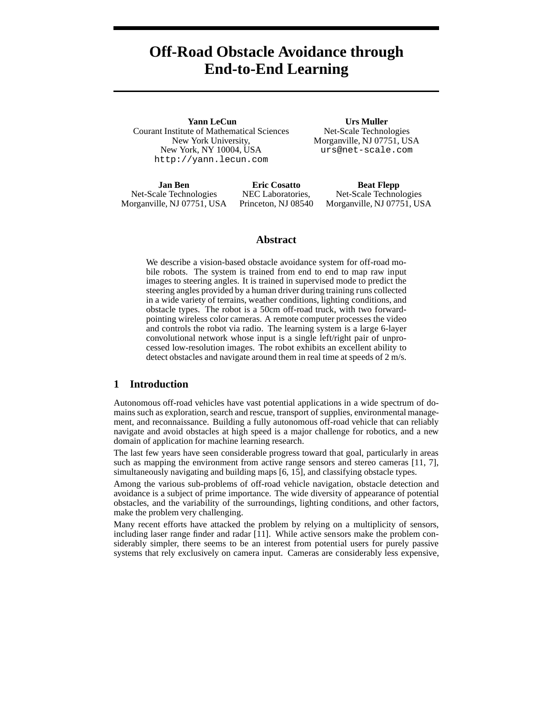# **Off-Road Obstacle Avoidance through End-to-End Learning**

**Yann LeCun** Courant Institute of Mathematical Sciences New York University, New York, NY 10004, USA http://yann.lecun.com

**Urs Muller** Net-Scale Technologies Morganville, NJ 07751, USA urs@net-scale.com

**Jan Ben** Net-Scale Technologies Morganville, NJ 07751, USA

**Eric Cosatto** NEC Laboratories, Princeton, NJ 08540

**Beat Flepp** Net-Scale Technologies Morganville, NJ 07751, USA

#### **Abstract**

We describe a vision-based obstacle avoidance system for off-road mobile robots. The system is trained from end to end to map raw input images to steering angles. It is trained in supervised mode to predict the steering angles provided by a human driver during training runs collected in a wide variety of terrains, weather conditions, lighting conditions, and obstacle types. The robot is a 50cm off-road truck, with two forwardpointing wireless color cameras. A remote computer processes the video and controls the robot via radio. The learning system is a large 6-layer convolutional network whose input is a single left/right pair of unprocessed low-resolution images. The robot exhibits an excellent ability to detect obstacles and navigate around them in real time at speeds of 2 m/s.

#### **1 Introduction**

Autonomous off-road vehicles have vast potential applications in a wide spectrum of domains such as exploration, search and rescue, transport of supplies, environmental management, and reconnaissance. Building a fully autonomous off-road vehicle that can reliably navigate and avoid obstacles at high speed is a major challenge for robotics, and a new domain of application for machine learning research.

The last few years have seen considerable progress toward that goal, particularly in areas such as mapping the environment from active range sensors and stereo cameras [11, 7], simultaneously navigating and building maps [6, 15], and classifying obstacle types.

Among the various sub-problems of off-road vehicle navigation, obstacle detection and avoidance is a subject of prime importance. The wide diversity of appearance of potential obstacles, and the variability of the surroundings, lighting conditions, and other factors, make the problem very challenging.

Many recent efforts have attacked the problem by relying on a multiplicity of sensors, including laser range finder and radar [11]. While active sensors make the problem considerably simpler, there seems to be an interest from potential users for purely passive systems that rely exclusively on camera input. Cameras are considerably less expensive,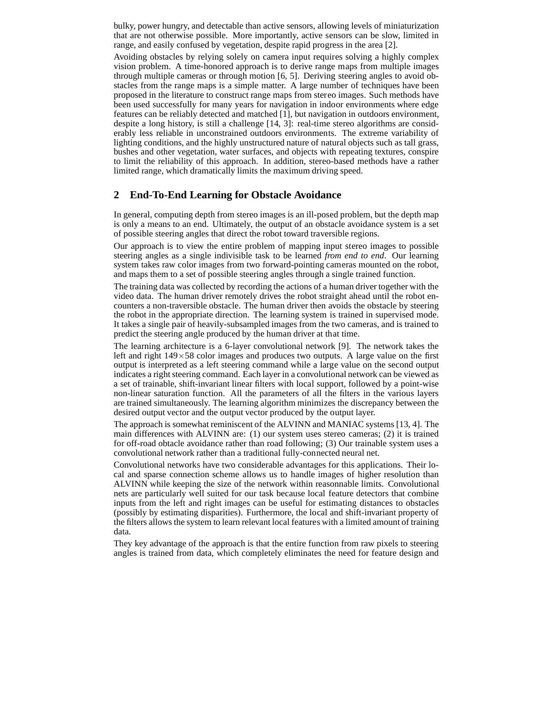bulky, power hungry, and detectable than active sensors, allowing levels of miniaturization that are not otherwise possible. More importantly, active sensors can be slow, limited in range, and easily confused by vegetation, despite rapid progress in the area [2].

Avoiding obstacles by relying solely on camera input requires solving a highly complex vision problem. A time-honored approach is to derive range maps from multiple images through multiple cameras or through motion [6, 5]. Deriving steering angles to avoid obstacles from the range maps is a simple matter. A large number of techniques have been proposed in the literature to construct range maps from stereo images. Such methods have been used successfully for many years for navigation in indoor environments where edge features can be reliably detected and matched [1], but navigation in outdoors environment, despite a long history, is still a challenge [14, 3]: real-time stereo algorithms are considerably less reliable in unconstrained outdoors environments. The extreme variability of lighting conditions, and the highly unstructured nature of natural objects such as tall grass, bushes and other vegetation, water surfaces, and objects with repeating textures, conspire to limit the reliability of this approach. In addition, stereo-based methods have a rather limited range, which dramatically limits the maximum driving speed.

#### **2 End-To-End Learning for Obstacle Avoidance**

In general, computing depth from stereo images is an ill-posed problem, but the depth map is only a means to an end. Ultimately, the output of an obstacle avoidance system is a set of possible steering angles that direct the robot toward traversible regions.

Our approach is to view the entire problem of mapping input stereo images to possible steering angles as a single indivisible task to be learned *from end to end*. Our learning system takes raw color images from two forward-pointing cameras mounted on the robot, and maps them to a set of possible steering angles through a single trained function.

The training data was collected by recording the actions of a human driver together with the video data. The human driver remotely drives the robot straight ahead until the robot encounters a non-traversible obstacle. The human driver then avoids the obstacle by steering the robot in the appropriate direction. The learning system is trained in supervised mode. It takes a single pair of heavily-subsampled images from the two cameras, and is trained to predict the steering angle produced by the human driver at that time.

The learning architecture is a 6-layer convolutional network [9]. The network takes the left and right  $149\times58$  color images and produces two outputs. A large value on the first output is interpreted as a left steering command while a large value on the second output indicates a right steering command. Each layer in a convolutional network can be viewed as a set of trainable, shift-invariant linear filters with local support, followed by a point-wise non-linear saturation function. All the parameters of all the filters in the various layers are trained simultaneously. The learning algorithm minimizes the discrepancy between the desired output vector and the output vector produced by the output layer.

The approach is somewhat reminiscent of the ALVINN and MANIAC systems [13, 4]. The main differences with ALVINN are: (1) our system uses stereo cameras; (2) it is trained for off-road obtacle avoidance rather than road following; (3) Our trainable system uses a convolutional network rather than a traditional fully-connected neural net.

Convolutional networks have two considerable advantages for this applications. Their local and sparse connection scheme allows us to handle images of higher resolution than ALVINN while keeping the size of the network within reasonnable limits. Convolutional nets are particularly well suited for our task because local feature detectors that combine inputs from the left and right images can be useful for estimating distances to obstacles (possibly by estimating disparities). Furthermore, the local and shift-invariant property of the filters allows the system to learn relevant local features with a limited amount of training data.

They key advantage of the approach is that the entire function from raw pixels to steering angles is trained from data, which completely eliminates the need for feature design and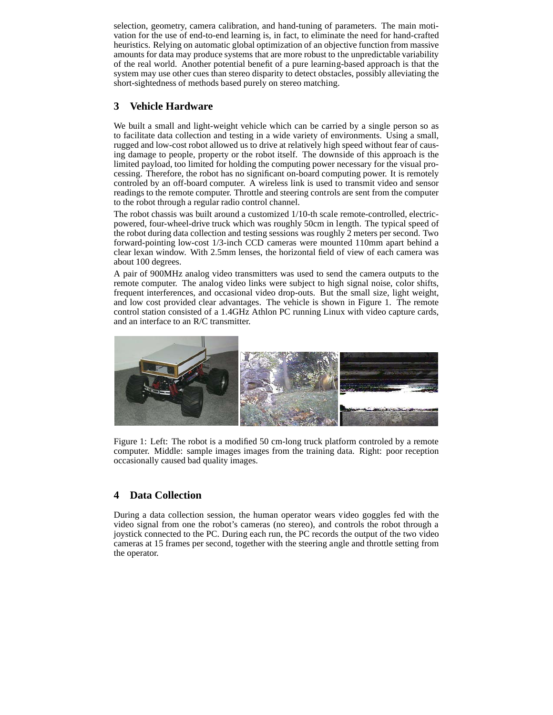selection, geometry, camera calibration, and hand-tuning of parameters. The main motivation for the use of end-to-end learning is, in fact, to eliminate the need for hand-crafted heuristics. Relying on automatic global optimization of an objective function from massive amounts for data may produce systems that are more robust to the unpredictable variability of the real world. Another potential benefit of a pure learning-based approach is that the system may use other cues than stereo disparity to detect obstacles, possibly alleviating the short-sightedness of methods based purely on stereo matching.

## **3 Vehicle Hardware**

We built a small and light-weight vehicle which can be carried by a single person so as to facilitate data collection and testing in a wide variety of environments. Using a small, rugged and low-cost robot allowed us to drive at relatively high speed without fear of causing damage to people, property or the robot itself. The downside of this approach is the limited payload, too limited for holding the computing power necessary for the visual processing. Therefore, the robot has no significant on-board computing power. It is remotely controled by an off-board computer. A wireless link is used to transmit video and sensor readings to the remote computer. Throttle and steering controls are sent from the computer to the robot through a regular radio control channel.

The robot chassis was built around a customized 1/10-th scale remote-controlled, electricpowered, four-wheel-drive truck which was roughly 50cm in length. The typical speed of the robot during data collection and testing sessions was roughly 2 meters per second. Two forward-pointing low-cost 1/3-inch CCD cameras were mounted 110mm apart behind a clear lexan window. With 2.5mm lenses, the horizontal field of view of each camera was about 100 degrees.

A pair of 900MHz analog video transmitters was used to send the camera outputs to the remote computer. The analog video links were subject to high signal noise, color shifts, frequent interferences, and occasional video drop-outs. But the small size, light weight, and low cost provided clear advantages. The vehicle is shown in Figure 1. The remote control station consisted of a 1.4GHz Athlon PC running Linux with video capture cards, and an interface to an R/C transmitter.



Figure 1: Left: The robot is a modified 50 cm-long truck platform controled by a remote computer. Middle: sample images images from the training data. Right: poor reception occasionally caused bad quality images.

## **4 Data Collection**

During a data collection session, the human operator wears video goggles fed with the video signal from one the robot's cameras (no stereo), and controls the robot through a joystick connected to the PC. During each run, the PC records the output of the two video cameras at 15 frames per second, together with the steering angle and throttle setting from the operator.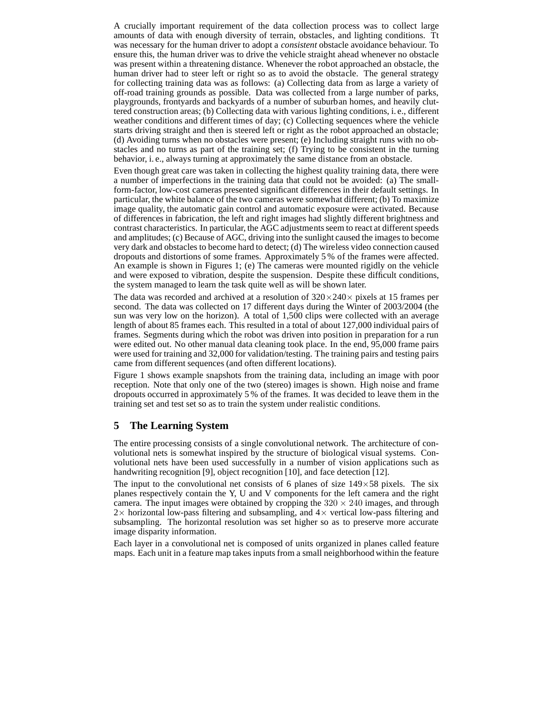A crucially important requirement of the data collection process was to collect large amounts of data with enough diversity of terrain, obstacles, and lighting conditions. Tt was necessary for the human driver to adopt a *consistent* obstacle avoidance behaviour. To ensure this, the human driver was to drive the vehicle straight ahead whenever no obstacle was present within a threatening distance. Whenever the robot approached an obstacle, the human driver had to steer left or right so as to avoid the obstacle. The general strategy for collecting training data was as follows: (a) Collecting data from as large a variety of off-road training grounds as possible. Data was collected from a large number of parks, playgrounds, frontyards and backyards of a number of suburban homes, and heavily cluttered construction areas; (b) Collecting data with various lighting conditions, i. e., different weather conditions and different times of day; (c) Collecting sequences where the vehicle starts driving straight and then is steered left or right as the robot approached an obstacle; (d) Avoiding turns when no obstacles were present; (e) Including straight runs with no obstacles and no turns as part of the training set; (f) Trying to be consistent in the turning behavior, i. e., always turning at approximately the same distance from an obstacle.

Even though great care was taken in collecting the highest quality training data, there were a number of imperfections in the training data that could not be avoided: (a) The smallform-factor, low-cost cameras presented significant differences in their default settings. In particular, the white balance of the two cameras were somewhat different; (b) To maximize image quality, the automatic gain control and automatic exposure were activated. Because of differences in fabrication, the left and right images had slightly different brightness and contrast characteristics. In particular, the AGC adjustments seem to react at different speeds and amplitudes; (c) Because of AGC, driving into the sunlight caused the images to become very dark and obstacles to become hard to detect; (d) The wireless video connection caused dropouts and distortions of some frames. Approximately 5 % of the frames were affected. An example is shown in Figures 1; (e) The cameras were mounted rigidly on the vehicle and were exposed to vibration, despite the suspension. Despite these difficult conditions, the system managed to learn the task quite well as will be shown later.

The data was recorded and archived at a resolution of  $320 \times 240 \times$  pixels at 15 frames per second. The data was collected on 17 different days during the Winter of 2003/2004 (the sun was very low on the horizon). A total of 1,500 clips were collected with an average length of about 85 frames each. This resulted in a total of about 127,000 individual pairs of frames. Segments during which the robot was driven into position in preparation for a run were edited out. No other manual data cleaning took place. In the end, 95,000 frame pairs were used for training and 32,000 for validation/testing. The training pairs and testing pairs came from different sequences (and often different locations).

Figure 1 shows example snapshots from the training data, including an image with poor reception. Note that only one of the two (stereo) images is shown. High noise and frame dropouts occurred in approximately 5 % of the frames. It was decided to leave them in the training set and test set so as to train the system under realistic conditions.

#### **5 The Learning System**

The entire processing consists of a single convolutional network. The architecture of convolutional nets is somewhat inspired by the structure of biological visual systems. Convolutional nets have been used successfully in a number of vision applications such as handwriting recognition [9], object recognition [10], and face detection [12].

The input to the convolutional net consists of 6 planes of size  $149\times58$  pixels. The six planes respectively contain the Y, U and V components for the left camera and the right camera. The input images were obtained by cropping the  $320 \times 240$  images, and through  $2\times$  horizontal low-pass filtering and subsampling, and  $4\times$  vertical low-pass filtering and subsampling. The horizontal resolution was set higher so as to preserve more accurate image disparity information.

Each layer in a convolutional net is composed of units organized in planes called feature maps. Each unit in a feature map takes inputs from a small neighborhood within the feature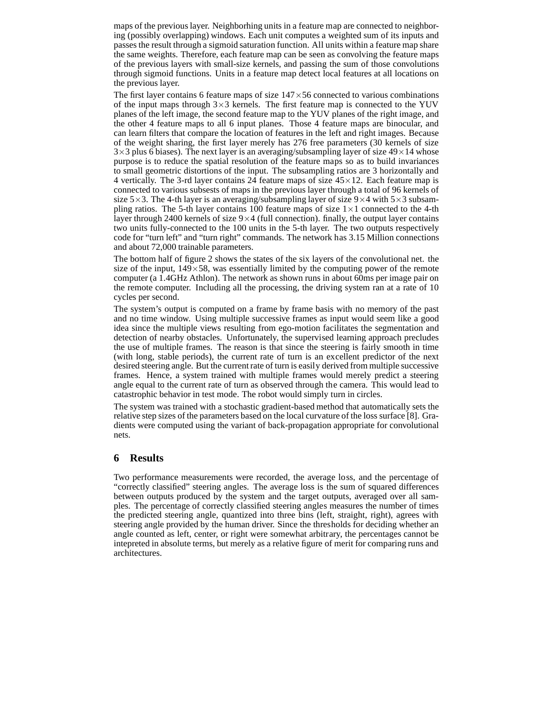maps of the previous layer. Neighborhing units in a feature map are connected to neighboring (possibly overlapping) windows. Each unit computes a weighted sum of its inputs and passes the result through a sigmoid saturation function. All units within a feature map share the same weights. Therefore, each feature map can be seen as convolving the feature maps of the previous layers with small-size kernels, and passing the sum of those convolutions through sigmoid functions. Units in a feature map detect local features at all locations on the previous layer.

The first layer contains 6 feature maps of size  $147 \times 56$  connected to various combinations of the input maps through  $3\times3$  kernels. The first feature map is connected to the YUV planes of the left image, the second feature map to the YUV planes of the right image, and the other 4 feature maps to all 6 input planes. Those 4 feature maps are binocular, and can learn filters that compare the location of features in the left and right images. Because of the weight sharing, the first layer merely has 276 free parameters (30 kernels of size  $3\times3$  plus 6 biases). The next layer is an averaging/subsampling layer of size  $49\times14$  whose purpose is to reduce the spatial resolution of the feature maps so as to build invariances to small geometric distortions of the input. The subsampling ratios are 3 horizontally and 4 vertically. The 3-rd layer contains 24 feature maps of size  $45\times12$ . Each feature map is connected to various subsests of maps in the previous layer through a total of 96 kernels of size  $5\times3$ . The 4-th layer is an averaging/subsampling layer of size  $9\times4$  with  $5\times3$  subsampling ratios. The 5-th layer contains 100 feature maps of size  $1\times1$  connected to the 4-th layer through 2400 kernels of size  $9 \times 4$  (full connection). finally, the output layer contains two units fully-connected to the 100 units in the 5-th layer. The two outputs respectively code for "turn left" and "turn right" commands. The network has 3.15 Million connections and about 72,000 trainable parameters.

The bottom half of figure 2 shows the states of the six layers of the convolutional net. the size of the input,  $149 \times 58$ , was essentially limited by the computing power of the remote computer (a 1.4GHz Athlon). The network as shown runs in about 60ms per image pair on the remote computer. Including all the processing, the driving system ran at a rate of 10 cycles per second.

The system's output is computed on a frame by frame basis with no memory of the past and no time window. Using multiple successive frames as input would seem like a good idea since the multiple views resulting from ego-motion facilitates the segmentation and detection of nearby obstacles. Unfortunately, the supervised learning approach precludes the use of multiple frames. The reason is that since the steering is fairly smooth in time (with long, stable periods), the current rate of turn is an excellent predictor of the next desired steering angle. But the current rate of turn is easily derived from multiple successive frames. Hence, a system trained with multiple frames would merely predict a steering angle equal to the current rate of turn as observed through the camera. This would lead to catastrophic behavior in test mode. The robot would simply turn in circles.

The system was trained with a stochastic gradient-based method that automatically sets the relative step sizes of the parameters based on the local curvature of the loss surface [8]. Gradients were computed using the variant of back-propagation appropriate for convolutional nets.

#### **6 Results**

Two performance measurements were recorded, the average loss, and the percentage of "correctly classified" steering angles. The average loss is the sum of squared differences between outputs produced by the system and the target outputs, averaged over all samples. The percentage of correctly classified steering angles measures the number of times the predicted steering angle, quantized into three bins (left, straight, right), agrees with steering angle provided by the human driver. Since the thresholds for deciding whether an angle counted as left, center, or right were somewhat arbitrary, the percentages cannot be intepreted in absolute terms, but merely as a relative figure of merit for comparing runs and architectures.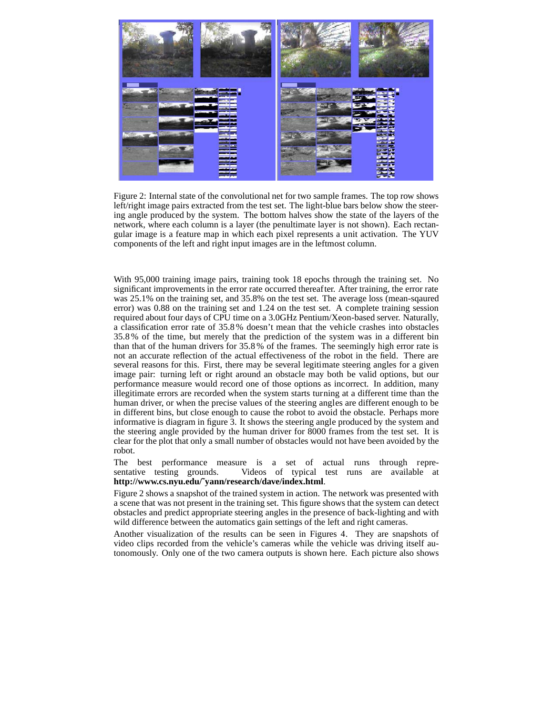

Figure 2: Internal state of the convolutional net for two sample frames. The top row shows left/right image pairs extracted from the test set. The light-blue bars below show the steering angle produced by the system. The bottom halves show the state of the layers of the network, where each column is a layer (the penultimate layer is not shown). Each rectangular image is a feature map in which each pixel represents a unit activation. The YUV components of the left and right input images are in the leftmost column.

With 95,000 training image pairs, training took 18 epochs through the training set. No significant improvements in the error rate occurred thereafter. After training, the error rate was 25.1% on the training set, and 35.8% on the test set. The average loss (mean-sqaured error) was 0.88 on the training set and 1.24 on the test set. A complete training session required about four days of CPU time on a 3.0GHz Pentium/Xeon-based server. Naturally, a classification error rate of 35.8 % doesn't mean that the vehicle crashes into obstacles 35.8 % of the time, but merely that the prediction of the system was in a different bin than that of the human drivers for 35.8 % of the frames. The seemingly high error rate is not an accurate reflection of the actual effectiveness of the robot in the field. There are several reasons for this. First, there may be several legitimate steering angles for a given image pair: turning left or right around an obstacle may both be valid options, but our performance measure would record one of those options as incorrect. In addition, many illegitimate errors are recorded when the system starts turning at a different time than the human driver, or when the precise values of the steering angles are different enough to be in different bins, but close enough to cause the robot to avoid the obstacle. Perhaps more informative is diagram in figure 3. It shows the steering angle produced by the system and the steering angle provided by the human driver for 8000 frames from the test set. It is clear for the plot that only a small number of obstacles would not have been avoided by the robot.

The best performance measure is a set of actual runs through repre-<br>sentative testing grounds. Videos of typical test runs are available at Videos of typical test runs are available at **http://www.cs.nyu.edu/˜yann/research/dave/index.html**.

Figure 2 shows a snapshot of the trained system in action. The network was presented with a scene that was not present in the training set. This figure shows that the system can detect obstacles and predict appropriate steering angles in the presence of back-lighting and with wild difference between the automatics gain settings of the left and right cameras.

Another visualization of the results can be seen in Figures 4. They are snapshots of video clips recorded from the vehicle's cameras while the vehicle was driving itself autonomously. Only one of the two camera outputs is shown here. Each picture also shows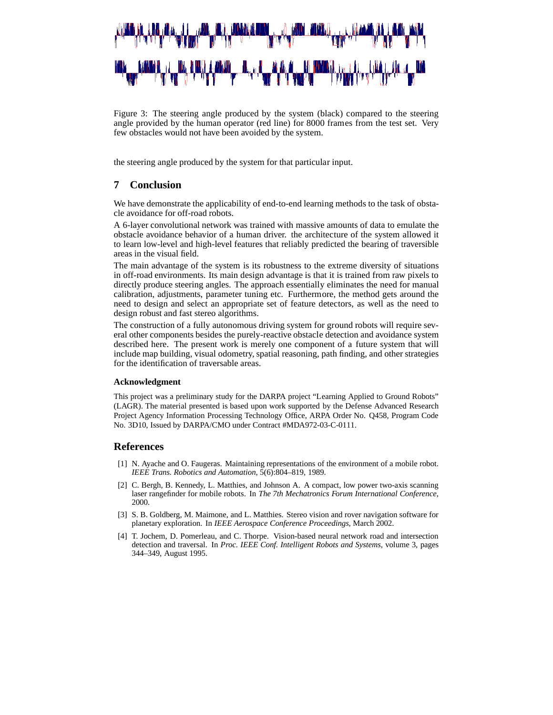

Figure 3: The steering angle produced by the system (black) compared to the steering angle provided by the human operator (red line) for 8000 frames from the test set. Very few obstacles would not have been avoided by the system.

the steering angle produced by the system for that particular input.

### **7 Conclusion**

We have demonstrate the applicability of end-to-end learning methods to the task of obstacle avoidance for off-road robots.

A 6-layer convolutional network was trained with massive amounts of data to emulate the obstacle avoidance behavior of a human driver. the architecture of the system allowed it to learn low-level and high-level features that reliably predicted the bearing of traversible areas in the visual field.

The main advantage of the system is its robustness to the extreme diversity of situations in off-road environments. Its main design advantage is that it is trained from raw pixels to directly produce steering angles. The approach essentially eliminates the need for manual calibration, adjustments, parameter tuning etc. Furthermore, the method gets around the need to design and select an appropriate set of feature detectors, as well as the need to design robust and fast stereo algorithms.

The construction of a fully autonomous driving system for ground robots will require several other components besides the purely-reactive obstacle detection and avoidance system described here. The present work is merely one component of a future system that will include map building, visual odometry, spatial reasoning, path finding, and other strategies for the identification of traversable areas.

#### **Acknowledgment**

This project was a preliminary study for the DARPA project "Learning Applied to Ground Robots" (LAGR). The material presented is based upon work supported by the Defense Advanced Research Project Agency Information Processing Technology Office, ARPA Order No. Q458, Program Code No. 3D10, Issued by DARPA/CMO under Contract #MDA972-03-C-0111.

#### **References**

- [1] N. Ayache and O. Faugeras. Maintaining representations of the environment of a mobile robot. *IEEE Trans. Robotics and Automation*, 5(6):804–819, 1989.
- [2] C. Bergh, B. Kennedy, L. Matthies, and Johnson A. A compact, low power two-axis scanning laser rangefinder for mobile robots. In *The 7th Mechatronics Forum International Conference*, 2000.
- [3] S. B. Goldberg, M. Maimone, and L. Matthies. Stereo vision and rover navigation software for planetary exploration. In *IEEE Aerospace Conference Proceedings*, March 2002.
- [4] T. Jochem, D. Pomerleau, and C. Thorpe. Vision-based neural network road and intersection detection and traversal. In *Proc. IEEE Conf. Intelligent Robots and Systems*, volume 3, pages 344–349, August 1995.